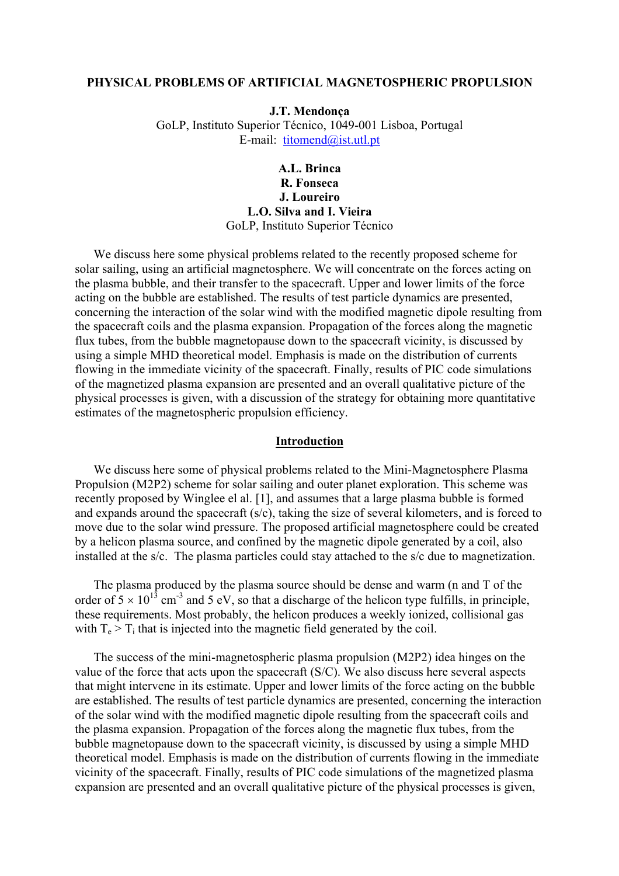#### **PHYSICAL PROBLEMS OF ARTIFICIAL MAGNETOSPHERIC PROPULSION**

**J.T. Mendonça**  GoLP, Instituto Superior Técnico, 1049-001 Lisboa, Portugal E-mail: [titomend@ist.utl.pt](mailto:Portugaltitomend@ist.utl.pt)

> **A.L. Brinca R. Fonseca J. Loureiro L.O. Silva and I. Vieira**  GoLP, Instituto Superior Técnico

We discuss here some physical problems related to the recently proposed scheme for solar sailing, using an artificial magnetosphere. We will concentrate on the forces acting on the plasma bubble, and their transfer to the spacecraft. Upper and lower limits of the force acting on the bubble are established. The results of test particle dynamics are presented, concerning the interaction of the solar wind with the modified magnetic dipole resulting from the spacecraft coils and the plasma expansion. Propagation of the forces along the magnetic flux tubes, from the bubble magnetopause down to the spacecraft vicinity, is discussed by using a simple MHD theoretical model. Emphasis is made on the distribution of currents flowing in the immediate vicinity of the spacecraft. Finally, results of PIC code simulations of the magnetized plasma expansion are presented and an overall qualitative picture of the physical processes is given, with a discussion of the strategy for obtaining more quantitative estimates of the magnetospheric propulsion efficiency.

## **Introduction**

We discuss here some of physical problems related to the Mini-Magnetosphere Plasma Propulsion (M2P2) scheme for solar sailing and outer planet exploration. This scheme was recently proposed by Winglee el al. [1], and assumes that a large plasma bubble is formed and expands around the spacecraft (s/c), taking the size of several kilometers, and is forced to move due to the solar wind pressure. The proposed artificial magnetosphere could be created by a helicon plasma source, and confined by the magnetic dipole generated by a coil, also installed at the s/c. The plasma particles could stay attached to the s/c due to magnetization.

The plasma produced by the plasma source should be dense and warm (n and T of the order of  $5 \times 10^{13}$  cm<sup>-3</sup> and  $5 \text{ eV}$ , so that a discharge of the helicon type fulfills, in principle, these requirements. Most probably, the helicon produces a weekly ionized, collisional gas with  $T_e > T_i$  that is injected into the magnetic field generated by the coil.

The success of the mini-magnetospheric plasma propulsion (M2P2) idea hinges on the value of the force that acts upon the spacecraft (S/C). We also discuss here several aspects that might intervene in its estimate. Upper and lower limits of the force acting on the bubble are established. The results of test particle dynamics are presented, concerning the interaction of the solar wind with the modified magnetic dipole resulting from the spacecraft coils and the plasma expansion. Propagation of the forces along the magnetic flux tubes, from the bubble magnetopause down to the spacecraft vicinity, is discussed by using a simple MHD theoretical model. Emphasis is made on the distribution of currents flowing in the immediate vicinity of the spacecraft. Finally, results of PIC code simulations of the magnetized plasma expansion are presented and an overall qualitative picture of the physical processes is given,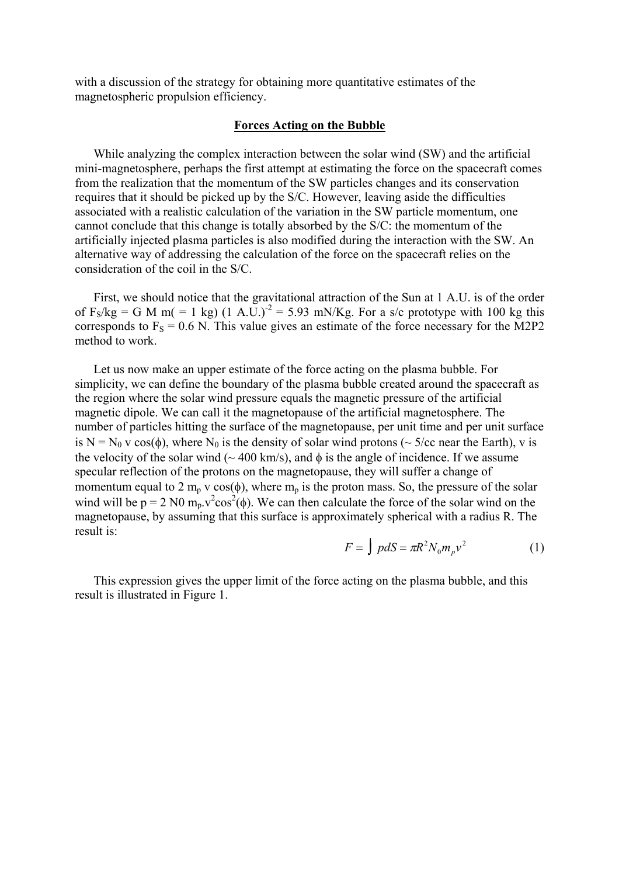with a discussion of the strategy for obtaining more quantitative estimates of the magnetospheric propulsion efficiency.

## **Forces Acting on the Bubble**

While analyzing the complex interaction between the solar wind (SW) and the artificial mini-magnetosphere, perhaps the first attempt at estimating the force on the spacecraft comes from the realization that the momentum of the SW particles changes and its conservation requires that it should be picked up by the S/C. However, leaving aside the difficulties associated with a realistic calculation of the variation in the SW particle momentum, one cannot conclude that this change is totally absorbed by the S/C: the momentum of the artificially injected plasma particles is also modified during the interaction with the SW. An alternative way of addressing the calculation of the force on the spacecraft relies on the consideration of the coil in the S/C.

First, we should notice that the gravitational attraction of the Sun at 1 A.U. is of the order of  $F_S/kg = G M m (= 1 kg) (1 A.U.)^2 = 5.93 mN/Kg$ . For a s/c prototype with 100 kg this corresponds to  $F_s = 0.6$  N. This value gives an estimate of the force necessary for the M2P2 method to work.

Let us now make an upper estimate of the force acting on the plasma bubble. For simplicity, we can define the boundary of the plasma bubble created around the spacecraft as the region where the solar wind pressure equals the magnetic pressure of the artificial magnetic dipole. We can call it the magnetopause of the artificial magnetosphere. The number of particles hitting the surface of the magnetopause, per unit time and per unit surface is N = N<sub>0</sub> v cos( $\phi$ ), where N<sub>0</sub> is the density of solar wind protons ( $\sim$  5/cc near the Earth), v is the velocity of the solar wind ( $\sim$  400 km/s), and  $\phi$  is the angle of incidence. If we assume specular reflection of the protons on the magnetopause, they will suffer a change of momentum equal to 2 m<sub>p</sub> v cos( $\phi$ ), where m<sub>p</sub> is the proton mass. So, the pressure of the solar wind will be  $p = 2$  N0 m<sub>p</sub>.v<sup>2</sup>cos<sup>2</sup>( $\phi$ ). We can then calculate the force of the solar wind on the magnetopause, by assuming that this surface is approximately spherical with a radius R. The result is:

$$
F = \int pdS = \pi R^2 N_0 m_p v^2 \tag{1}
$$

This expression gives the upper limit of the force acting on the plasma bubble, and this result is illustrated in Figure 1.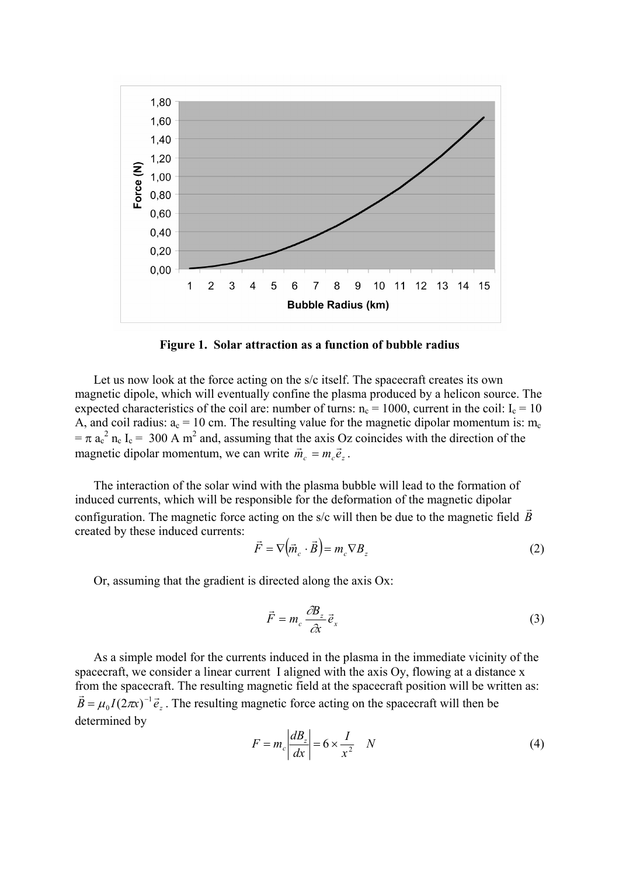

**Figure 1. Solar attraction as a function of bubble radius**

Let us now look at the force acting on the s/c itself. The spacecraft creates its own magnetic dipole, which will eventually confine the plasma produced by a helicon source. The expected characteristics of the coil are: number of turns:  $n_c = 1000$ , current in the coil:  $I_c = 10$ A, and coil radius:  $a_c = 10$  cm. The resulting value for the magnetic dipolar momentum is: m<sub>c</sub>  $= \pi a_c^2 n_c I_c = 300$  A m<sup>2</sup> and, assuming that the axis Oz coincides with the direction of the magnetic dipolar momentum, we can write  $\vec{m}_e = m_e \vec{e}_e$ .

The interaction of the solar wind with the plasma bubble will lead to the formation of induced currents, which will be responsible for the deformation of the magnetic dipolar configuration. The magnetic force acting on the s/c will then be due to the magnetic field *B*  $\vec{r}$ created by these induced currents:

$$
\vec{F} = \nabla \left( \vec{m}_c \cdot \vec{B} \right) = m_c \nabla B_z \tag{2}
$$

Or, assuming that the gradient is directed along the axis Ox:

$$
\vec{F} = m_c \frac{\partial B_z}{\partial x} \vec{e}_x \tag{3}
$$

As a simple model for the currents induced in the plasma in the immediate vicinity of the spacecraft, we consider a linear current I aligned with the axis Oy, flowing at a distance x from the spacecraft. The resulting magnetic field at the spacecraft position will be written as:<br> $\vec{B} = \mu_0 I (2\pi x)^{-1} \vec{e}_z$ . The resulting magnetic force acting on the spacecraft will then be determined by

$$
F = m_c \left| \frac{dB_z}{dx} \right| = 6 \times \frac{I}{x^2} \quad N \tag{4}
$$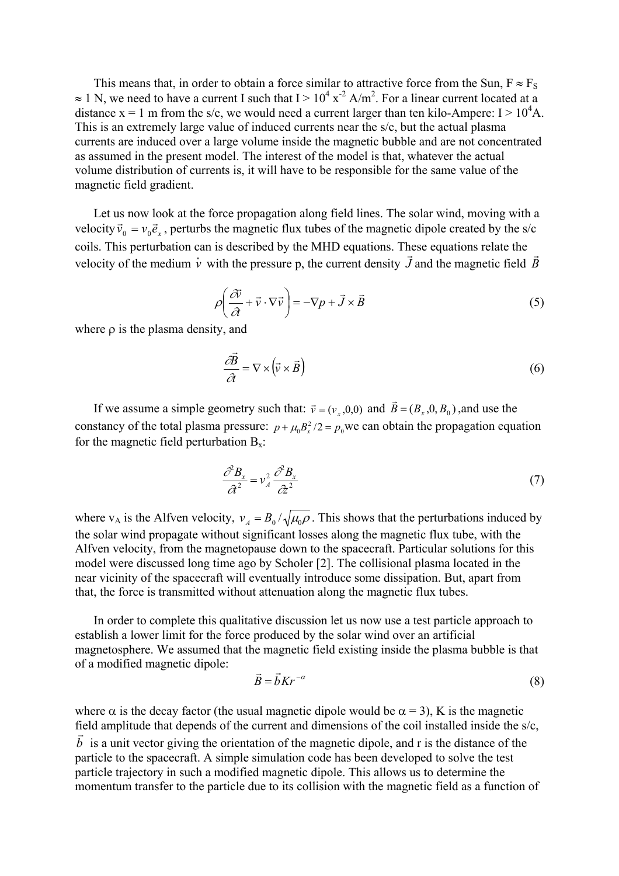This means that, in order to obtain a force similar to attractive force from the Sun,  $F \approx F_S$  $\approx 1$  N, we need to have a current I such that I >  $10^4$  x<sup>-2</sup> A/m<sup>2</sup>. For a linear current located at a distance  $x = 1$  m from the s/c, we would need a current larger than ten kilo-Ampere:  $I > 10<sup>4</sup>A$ . This is an extremely large value of induced currents near the s/c, but the actual plasma currents are induced over a large volume inside the magnetic bubble and are not concentrated as assumed in the present model. The interest of the model is that, whatever the actual volume distribution of currents is, it will have to be responsible for the same value of the magnetic field gradient.

Let us now look at the force propagation along field lines. The solar wind, moving with a velocity  $\vec{v}_0 = v_0 \vec{e}_x$ , perturbs the magnetic flux tubes of the magnetic dipole created by the s/c coils. This perturbation can is described by the MHD equations. These equations relate the velocity of the medium  $\dot{v}$  with the pressure p, the current density  $\vec{J}$  and the magnetic field  $\vec{B}$ .<br>ก

$$
\rho \left( \frac{\partial \vec{v}}{\partial t} + \vec{v} \cdot \nabla \vec{v} \right) = -\nabla p + \vec{J} \times \vec{B}
$$
\n(5)

where  $\rho$  is the plasma density, and

$$
\frac{\partial \vec{B}}{\partial t} = \nabla \times (\vec{v} \times \vec{B})
$$
\n(6)

If we assume a simple geometry such that:  $\vec{v} = (v_x, 0, 0)$  and  $\vec{B} = (B_x, 0, B_0)$ , and use the constancy of the total plasma pressure:  $p + \mu_0 B_x^2/2 = p_0$  we can obtain the propagation equation for the magnetic field perturbation  $B_x$ :

$$
\frac{\partial^2 B_x}{\partial t^2} = v_A^2 \frac{\partial^2 B_x}{\partial t^2}
$$
 (7)

where  $v_A$  is the Alfven velocity,  $v_A = B_0 / \sqrt{\mu_0 \rho}$ . This shows that the perturbations induced by the solar wind propagate without significant losses along the magnetic flux tube, with the Alfven velocity, from the magnetopause down to the spacecraft. Particular solutions for this model were discussed long time ago by Scholer [2]. The collisional plasma located in the near vicinity of the spacecraft will eventually introduce some dissipation. But, apart from that, the force is transmitted without attenuation along the magnetic flux tubes.

In order to complete this qualitative discussion let us now use a test particle approach to establish a lower limit for the force produced by the solar wind over an artificial magnetosphere. We assumed that the magnetic field existing inside the plasma bubble is that of a modified magnetic dipole:

$$
\vec{B} = \vec{b} K r^{-\alpha} \tag{8}
$$

where  $\alpha$  is the decay factor (the usual magnetic dipole would be  $\alpha = 3$ ), K is the magnetic field amplitude that depends of the current and dimensions of the coil installed inside the s/c, *b* r<br>T is a unit vector giving the orientation of the magnetic dipole, and r is the distance of the particle to the spacecraft. A simple simulation code has been developed to solve the test particle trajectory in such a modified magnetic dipole. This allows us to determine the momentum transfer to the particle due to its collision with the magnetic field as a function of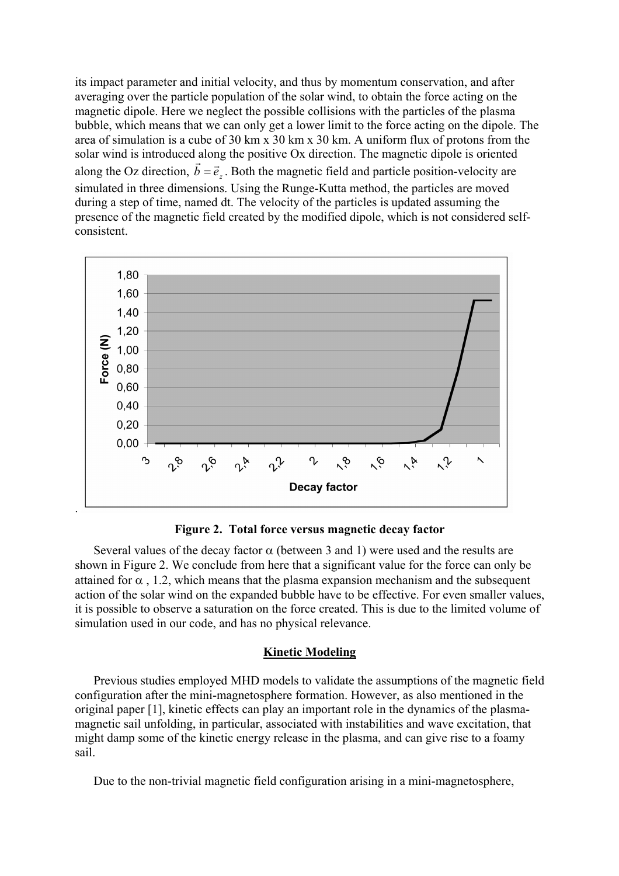its impact parameter and initial velocity, and thus by momentum conservation, and after averaging over the particle population of the solar wind, to obtain the force acting on the magnetic dipole. Here we neglect the possible collisions with the particles of the plasma bubble, which means that we can only get a lower limit to the force acting on the dipole. The area of simulation is a cube of 30 km x 30 km x 30 km. A uniform flux of protons from the solar wind is introduced along the positive Ox direction. The magnetic dipole is oriented along the Oz direction,  $\vec{b} = \vec{e}_z$ . Both the magnetic field and particle position-velocity are simulated in three dimensions. Using the Runge-Kutta method, the particles are moved during a step of time, named dt. The velocity of the particles is updated assuming the presence of the magnetic field created by the modified dipole, which is not considered selfconsistent.



**Figure 2. Total force versus magnetic decay factor**

Several values of the decay factor  $\alpha$  (between 3 and 1) were used and the results are shown in Figure 2. We conclude from here that a significant value for the force can only be attained for  $\alpha$ , 1.2, which means that the plasma expansion mechanism and the subsequent action of the solar wind on the expanded bubble have to be effective. For even smaller values, it is possible to observe a saturation on the force created. This is due to the limited volume of simulation used in our code, and has no physical relevance.

# **Kinetic Modeling**

Previous studies employed MHD models to validate the assumptions of the magnetic field configuration after the mini-magnetosphere formation. However, as also mentioned in the original paper [1], kinetic effects can play an important role in the dynamics of the plasmamagnetic sail unfolding, in particular, associated with instabilities and wave excitation, that might damp some of the kinetic energy release in the plasma, and can give rise to a foamy sail.

Due to the non-trivial magnetic field configuration arising in a mini-magnetosphere,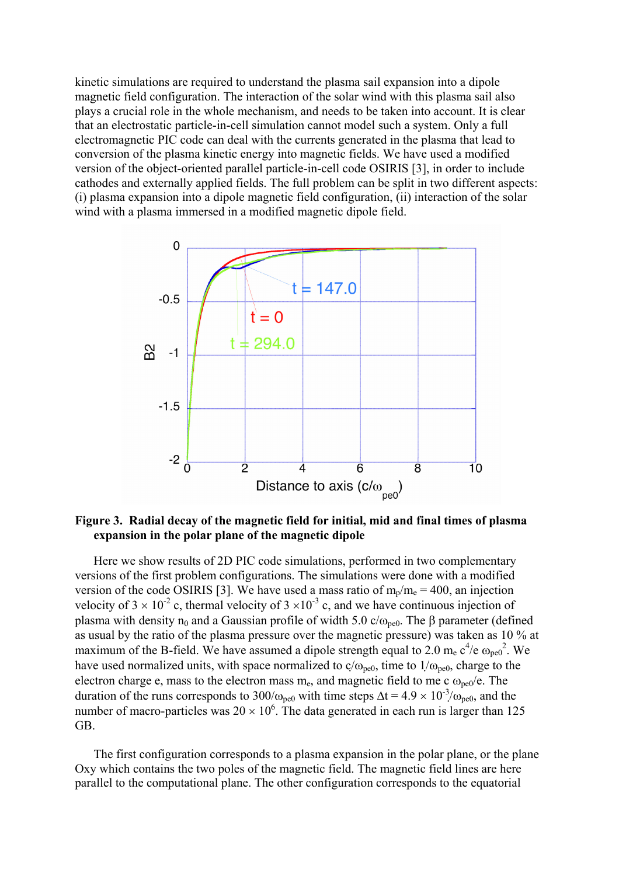kinetic simulations are required to understand the plasma sail expansion into a dipole magnetic field configuration. The interaction of the solar wind with this plasma sail also plays a crucial role in the whole mechanism, and needs to be taken into account. It is clear that an electrostatic particle-in-cell simulation cannot model such a system. Only a full electromagnetic PIC code can deal with the currents generated in the plasma that lead to conversion of the plasma kinetic energy into magnetic fields. We have used a modified version of the object-oriented parallel particle-in-cell code OSIRIS [3], in order to include cathodes and externally applied fields. The full problem can be split in two different aspects: (i) plasma expansion into a dipole magnetic field configuration, (ii) interaction of the solar wind with a plasma immersed in a modified magnetic dipole field.



**Figure 3. Radial decay of the magnetic field for initial, mid and final times of plasma expansion in the polar plane of the magnetic dipole** 

Here we show results of 2D PIC code simulations, performed in two complementary versions of the first problem configurations. The simulations were done with a modified version of the code OSIRIS [3]. We have used a mass ratio of  $m_p/m_e = 400$ , an injection velocity of  $3 \times 10^{-2}$  c, thermal velocity of  $3 \times 10^{-3}$  c, and we have continuous injection of plasma with density  $n_0$  and a Gaussian profile of width 5.0 c/ $\omega_{\text{ne0}}$ . The β parameter (defined as usual by the ratio of the plasma pressure over the magnetic pressure) was taken as 10 % at maximum of the B-field. We have assumed a dipole strength equal to 2.0 m<sub>e</sub>  $c^4$ /e  $\omega_{pe0}^2$ . We have used normalized units, with space normalized to  $c/\omega_{pe0}$ , time to  $1/\omega_{pe0}$ , charge to the electron charge e, mass to the electron mass  $m_e$ , and magnetic field to me c  $\omega_{pe0}/e$ . The duration of the runs corresponds to 300/ $\omega_{pe0}$  with time steps  $\Delta t = 4.9 \times 10^{-3}/\omega_{pe0}$ , and the number of macro-particles was  $20 \times 10^6$ . The data generated in each run is larger than 125 GB.

The first configuration corresponds to a plasma expansion in the polar plane, or the plane Oxy which contains the two poles of the magnetic field. The magnetic field lines are here parallel to the computational plane. The other configuration corresponds to the equatorial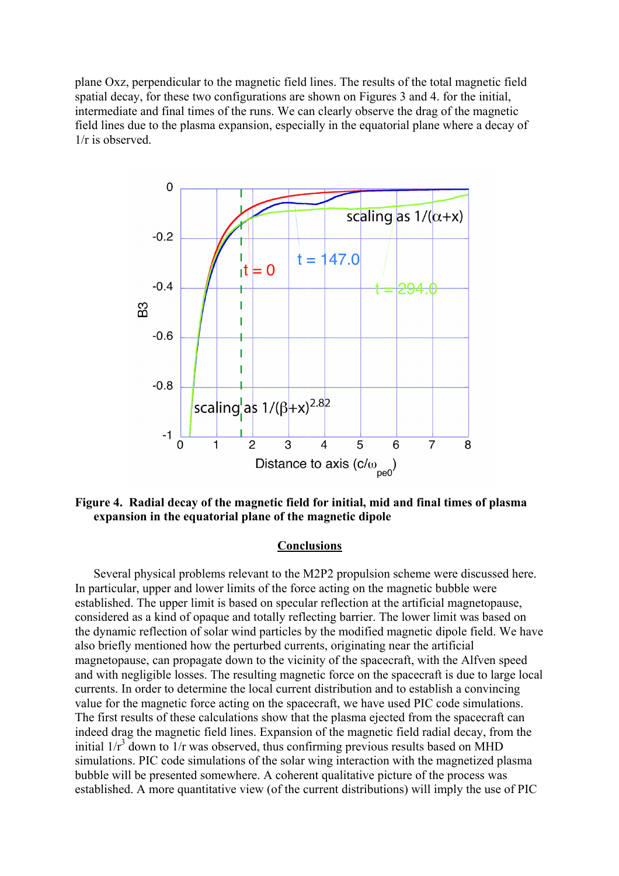plane Oxz, perpendicular to the magnetic field lines. The results of the total magnetic field spatial decay, for these two configurations are shown on Figures 3 and 4. for the initial, intermediate and final times of the runs. We can clearly observe the drag of the magnetic field lines due to the plasma expansion, especially in the equatorial plane where a decay of 1/r is observed.



**Figure 4. Radial decay of the magnetic field for initial, mid and final times of plasma expansion in the equatorial plane of the magnetic dipole**

### **Conclusions**

Several physical problems relevant to the M2P2 propulsion scheme were discussed here. In particular, upper and lower limits of the force acting on the magnetic bubble were established. The upper limit is based on specular reflection at the artificial magnetopause, considered as a kind of opaque and totally reflecting barrier. The lower limit was based on the dynamic reflection of solar wind particles by the modified magnetic dipole field. We have also briefly mentioned how the perturbed currents, originating near the artificial magnetopause, can propagate down to the vicinity of the spacecraft, with the Alfven speed and with negligible losses. The resulting magnetic force on the spacecraft is due to large local currents. In order to determine the local current distribution and to establish a convincing value for the magnetic force acting on the spacecraft, we have used PIC code simulations. The first results of these calculations show that the plasma ejected from the spacecraft can indeed drag the magnetic field lines. Expansion of the magnetic field radial decay, from the initial  $1/r^3$  down to  $1/r$  was observed, thus confirming previous results based on MHD simulations. PIC code simulations of the solar wing interaction with the magnetized plasma bubble will be presented somewhere. A coherent qualitative picture of the process was established. A more quantitative view (of the current distributions) will imply the use of PIC